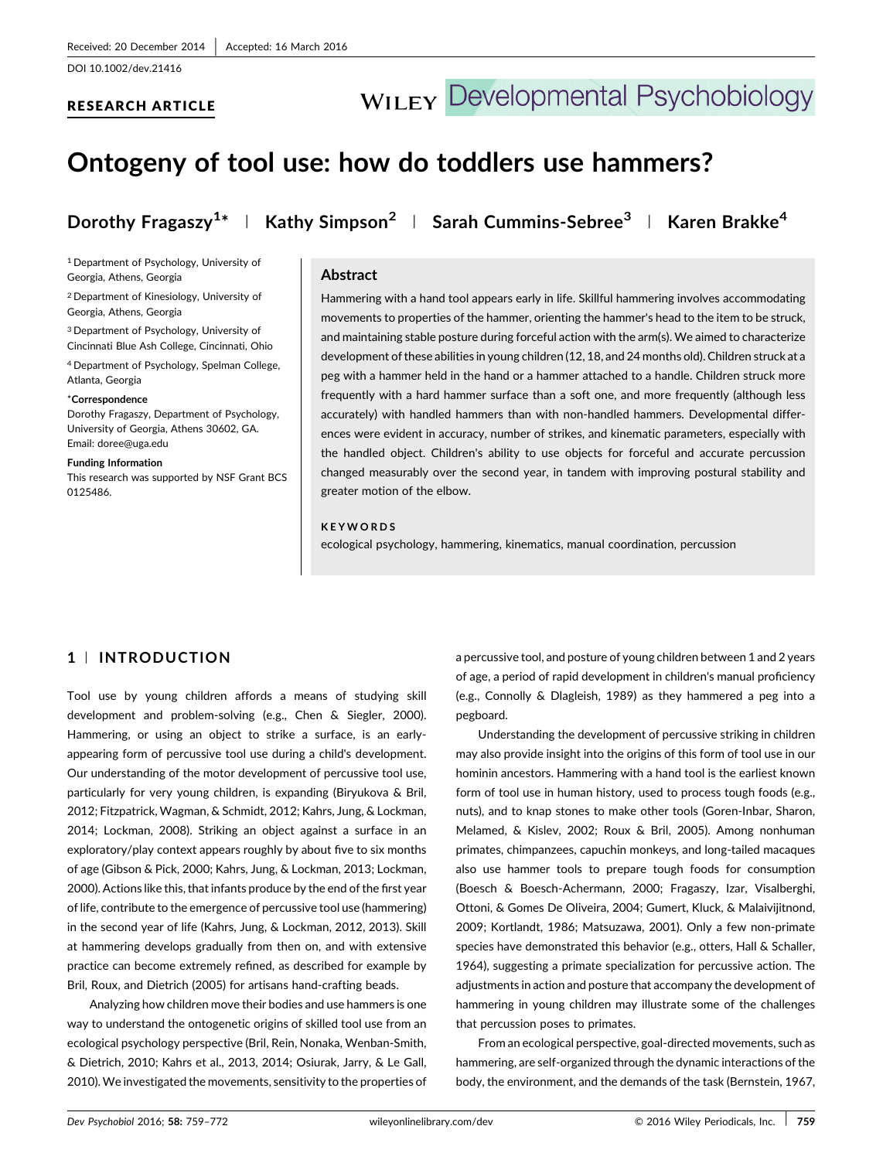## RESEARCH ARTICLE

# **WILEY Developmental Psychobiology**

## Ontogeny of tool use: how do toddlers use hammers?

Dorothy Fragaszy $^{1*}$   $\perp$  Kathy Simpson $^2$   $\perp$  Sarah Cummins-Sebree $^3$   $\perp$  Karen Brakke $^4$ 

<sup>1</sup> Department of Psychology, University of Georgia, Athens, Georgia

<sup>2</sup> Department of Kinesiology, University of Georgia, Athens, Georgia

<sup>3</sup> Department of Psychology, University of Cincinnati Blue Ash College, Cincinnati, Ohio

<sup>4</sup> Department of Psychology, Spelman College, Atlanta, Georgia

#### \*Correspondence

Dorothy Fragaszy, Department of Psychology, University of Georgia, Athens 30602, GA. Email: doree@uga.edu

Funding Information

This research was supported by NSF Grant BCS 0125486.

#### Abstract

Hammering with a hand tool appears early in life. Skillful hammering involves accommodating movements to properties of the hammer, orienting the hammer's head to the item to be struck, and maintaining stable posture during forceful action with the arm(s). We aimed to characterize development of these abilities in young children (12, 18, and 24 months old). Children struck at a peg with a hammer held in the hand or a hammer attached to a handle. Children struck more frequently with a hard hammer surface than a soft one, and more frequently (although less accurately) with handled hammers than with non-handled hammers. Developmental differences were evident in accuracy, number of strikes, and kinematic parameters, especially with the handled object. Children's ability to use objects for forceful and accurate percussion changed measurably over the second year, in tandem with improving postural stability and greater motion of the elbow.

#### KEYWORDS

ecological psychology, hammering, kinematics, manual coordination, percussion

### 1 <sup>|</sup> INTRODUCTION

Tool use by young children affords a means of studying skill development and problem‐solving (e.g., Chen & Siegler, [2000\)](#page-12-0). Hammering, or using an object to strike a surface, is an early‐ appearing form of percussive tool use during a child's development. Our understanding of the motor development of percussive tool use, particularly for very young children, is expanding (Biryukova & Bril, [2012;](#page-12-0) Fitzpatrick, Wagman, & Schmidt, [2012](#page-12-0); Kahrs, Jung, & Lockman, [2014;](#page-13-0) Lockman, [2008\)](#page-13-0). Striking an object against a surface in an exploratory/play context appears roughly by about five to six months of age (Gibson & Pick, [2000;](#page-13-0) Kahrs, Jung, & Lockman, [2013](#page-13-0); Lockman, [2000\)](#page-13-0). Actions like this, that infants produce by the end of the first year of life, contribute to the emergence of percussive tool use (hammering) in the second year of life (Kahrs, Jung, & Lockman, [2012,](#page-13-0) 2013). Skill at hammering develops gradually from then on, and with extensive practice can become extremely refined, as described for example by Bril, Roux, and Dietrich ([2005](#page-12-0)) for artisans hand‐crafting beads.

Analyzing how children move their bodies and use hammers is one way to understand the ontogenetic origins of skilled tool use from an ecological psychology perspective (Bril, Rein, Nonaka, Wenban‐Smith, & Dietrich, [2010;](#page-12-0) Kahrs et al., [2013](#page-13-0), [2014](#page-13-0); Osiurak, Jarry, & Le Gall, [2010\)](#page-13-0). We investigated the movements, sensitivity to the properties of

a percussive tool, and posture of young children between 1 and 2 years of age, a period of rapid development in children's manual proficiency (e.g., Connolly & Dlagleish, [1989](#page-12-0)) as they hammered a peg into a pegboard.

Understanding the development of percussive striking in children may also provide insight into the origins of this form of tool use in our hominin ancestors. Hammering with a hand tool is the earliest known form of tool use in human history, used to process tough foods (e.g., nuts), and to knap stones to make other tools (Goren‐Inbar, Sharon, Melamed, & Kislev, [2002](#page-13-0); Roux & Bril, [2005](#page-13-0)). Among nonhuman primates, chimpanzees, capuchin monkeys, and long‐tailed macaques also use hammer tools to prepare tough foods for consumption (Boesch & Boesch‐Achermann, [2000](#page-12-0); Fragaszy, Izar, Visalberghi, Ottoni, & Gomes De Oliveira, [2004;](#page-13-0) Gumert, Kluck, & Malaivijitnond, [2009](#page-13-0); Kortlandt, [1986;](#page-13-0) Matsuzawa, [2001](#page-13-0)). Only a few non‐primate species have demonstrated this behavior (e.g., otters, Hall & Schaller, [1964](#page-13-0)), suggesting a primate specialization for percussive action. The adjustments in action and posture that accompany the development of hammering in young children may illustrate some of the challenges that percussion poses to primates.

From an ecological perspective, goal‐directed movements, such as hammering, are self‐organized through the dynamic interactions of the body, the environment, and the demands of the task (Bernstein, [1967](#page-12-0),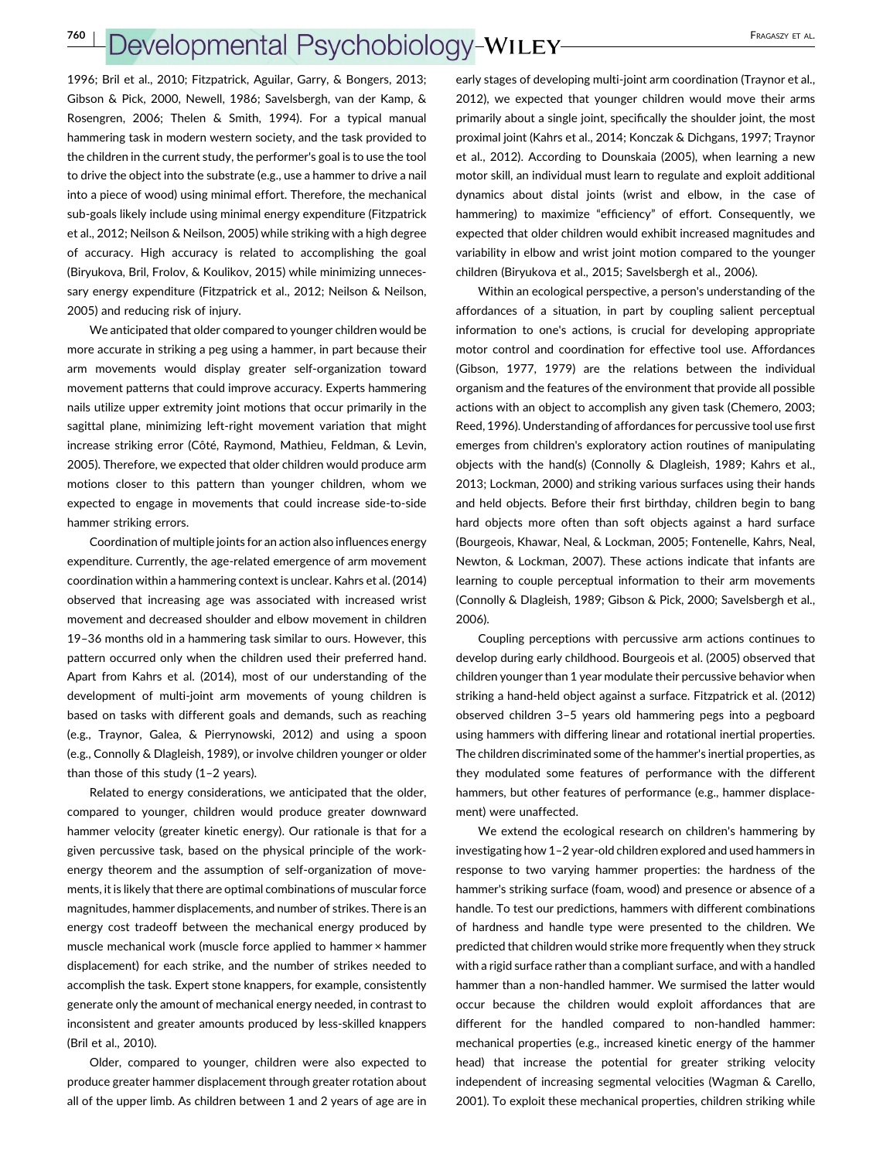[1996;](#page-12-0) Bril et al., [2010](#page-12-0); Fitzpatrick, Aguilar, Garry, & Bongers, [2013;](#page-12-0) Gibson & Pick, [2000](#page-13-0), Newell, [1986;](#page-13-0) Savelsbergh, van der Kamp, & Rosengren, [2006](#page-13-0); Thelen & Smith, [1994\)](#page-13-0). For a typical manual hammering task in modern western society, and the task provided to the children in the current study, the performer's goal is to use the tool to drive the object into the substrate (e.g., use a hammer to drive a nail into a piece of wood) using minimal effort. Therefore, the mechanical sub‐goals likely include using minimal energy expenditure (Fitzpatrick et al., [2012;](#page-12-0) Neilson & Neilson, [2005](#page-13-0)) while striking with a high degree of accuracy. High accuracy is related to accomplishing the goal (Biryukova, Bril, Frolov, & Koulikov, [2015\)](#page-12-0) while minimizing unnecessary energy expenditure (Fitzpatrick et al., [2012;](#page-12-0) Neilson & Neilson, [2005\)](#page-13-0) and reducing risk of injury.

We anticipated that older compared to younger children would be more accurate in striking a peg using a hammer, in part because their arm movements would display greater self‐organization toward movement patterns that could improve accuracy. Experts hammering nails utilize upper extremity joint motions that occur primarily in the sagittal plane, minimizing left‐right movement variation that might increase striking error (Côté, Raymond, Mathieu, Feldman, & Levin, [2005\)](#page-12-0). Therefore, we expected that older children would produce arm motions closer to this pattern than younger children, whom we expected to engage in movements that could increase side‐to‐side hammer striking errors.

Coordination of multiple joints for an action also influences energy expenditure. Currently, the age-related emergence of arm movement coordination within a hammering context is unclear. Kahrs et al. [\(2014\)](#page-13-0) observed that increasing age was associated with increased wrist movement and decreased shoulder and elbow movement in children 19–36 months old in a hammering task similar to ours. However, this pattern occurred only when the children used their preferred hand. Apart from Kahrs et al. [\(2014\)](#page-13-0), most of our understanding of the development of multi‐joint arm movements of young children is based on tasks with different goals and demands, such as reaching (e.g., Traynor, Galea, & Pierrynowski, [2012\)](#page-13-0) and using a spoon (e.g., Connolly & Dlagleish, [1989\)](#page-12-0), or involve children younger or older than those of this study (1–2 years).

Related to energy considerations, we anticipated that the older, compared to younger, children would produce greater downward hammer velocity (greater kinetic energy). Our rationale is that for a given percussive task, based on the physical principle of the work‐ energy theorem and the assumption of self‐organization of movements, it is likely that there are optimal combinations of muscular force magnitudes, hammer displacements, and number of strikes. There is an energy cost tradeoff between the mechanical energy produced by muscle mechanical work (muscle force applied to hammer × hammer displacement) for each strike, and the number of strikes needed to accomplish the task. Expert stone knappers, for example, consistently generate only the amount of mechanical energy needed, in contrast to inconsistent and greater amounts produced by less‐skilled knappers (Bril et al., [2010\)](#page-12-0).

Older, compared to younger, children were also expected to produce greater hammer displacement through greater rotation about all of the upper limb. As children between 1 and 2 years of age are in

early stages of developing multi-joint arm coordination (Traynor et al., [2012](#page-13-0)), we expected that younger children would move their arms primarily about a single joint, specifically the shoulder joint, the most proximal joint (Kahrs et al., [2014](#page-13-0); Konczak & Dichgans, [1997](#page-13-0); Traynor et al., [2012](#page-13-0)). According to Dounskaia [\(2005\)](#page-12-0), when learning a new motor skill, an individual must learn to regulate and exploit additional dynamics about distal joints (wrist and elbow, in the case of hammering) to maximize "efficiency" of effort. Consequently, we expected that older children would exhibit increased magnitudes and variability in elbow and wrist joint motion compared to the younger children (Biryukova et al., [2015;](#page-12-0) Savelsbergh et al., [2006](#page-13-0)).

Within an ecological perspective, a person's understanding of the affordances of a situation, in part by coupling salient perceptual information to one's actions, is crucial for developing appropriate motor control and coordination for effective tool use. Affordances (Gibson, [1977](#page-13-0), [1979](#page-13-0)) are the relations between the individual organism and the features of the environment that provide all possible actions with an object to accomplish any given task (Chemero, [2003;](#page-12-0) Reed, [1996](#page-13-0)). Understanding of affordances for percussive tool use first emerges from children's exploratory action routines of manipulating objects with the hand(s) (Connolly & Dlagleish, [1989;](#page-12-0) Kahrs et al., [2013](#page-13-0); Lockman, [2000](#page-13-0)) and striking various surfaces using their hands and held objects. Before their first birthday, children begin to bang hard objects more often than soft objects against a hard surface (Bourgeois, Khawar, Neal, & Lockman, [2005](#page-12-0); Fontenelle, Kahrs, Neal, Newton, & Lockman, [2007\)](#page-13-0). These actions indicate that infants are learning to couple perceptual information to their arm movements (Connolly & Dlagleish, [1989;](#page-12-0) Gibson & Pick, [2000](#page-13-0); Savelsbergh et al., [2006](#page-13-0)).

Coupling perceptions with percussive arm actions continues to develop during early childhood. Bourgeois et al. [\(2005](#page-12-0)) observed that children younger than 1 year modulate their percussive behavior when striking a hand‐held object against a surface. Fitzpatrick et al. [\(2012\)](#page-12-0) observed children 3–5 years old hammering pegs into a pegboard using hammers with differing linear and rotational inertial properties. The children discriminated some of the hammer's inertial properties, as they modulated some features of performance with the different hammers, but other features of performance (e.g., hammer displacement) were unaffected.

We extend the ecological research on children's hammering by investigating how 1–2 year‐old children explored and used hammers in response to two varying hammer properties: the hardness of the hammer's striking surface (foam, wood) and presence or absence of a handle. To test our predictions, hammers with different combinations of hardness and handle type were presented to the children. We predicted that children would strike more frequently when they struck with a rigid surface rather than a compliant surface, and with a handled hammer than a non-handled hammer. We surmised the latter would occur because the children would exploit affordances that are different for the handled compared to non‐handled hammer: mechanical properties (e.g., increased kinetic energy of the hammer head) that increase the potential for greater striking velocity independent of increasing segmental velocities (Wagman & Carello, [2001](#page-13-0)). To exploit these mechanical properties, children striking while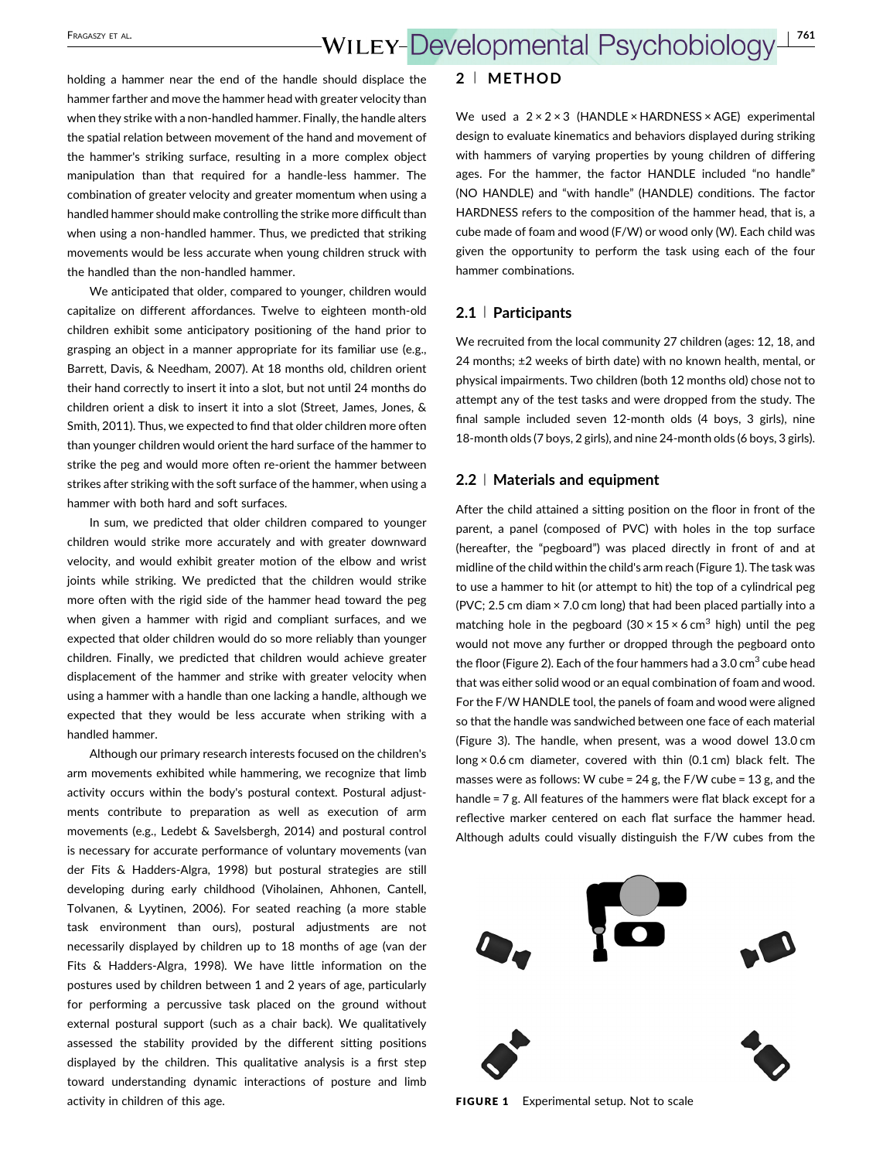holding a hammer near the end of the handle should displace the hammer farther and move the hammer head with greater velocity than when they strike with a non-handled hammer. Finally, the handle alters the spatial relation between movement of the hand and movement of the hammer's striking surface, resulting in a more complex object manipulation than that required for a handle‐less hammer. The combination of greater velocity and greater momentum when using a handled hammer should make controlling the strike more difficult than when using a non-handled hammer. Thus, we predicted that striking movements would be less accurate when young children struck with the handled than the non‐handled hammer.

We anticipated that older, compared to younger, children would capitalize on different affordances. Twelve to eighteen month‐old children exhibit some anticipatory positioning of the hand prior to grasping an object in a manner appropriate for its familiar use (e.g., Barrett, Davis, & Needham, [2007](#page-12-0)). At 18 months old, children orient their hand correctly to insert it into a slot, but not until 24 months do children orient a disk to insert it into a slot (Street, James, Jones, & Smith, [2011](#page-13-0)). Thus, we expected to find that older children more often than younger children would orient the hard surface of the hammer to strike the peg and would more often re-orient the hammer between strikes after striking with the soft surface of the hammer, when using a hammer with both hard and soft surfaces.

In sum, we predicted that older children compared to younger children would strike more accurately and with greater downward velocity, and would exhibit greater motion of the elbow and wrist joints while striking. We predicted that the children would strike more often with the rigid side of the hammer head toward the peg when given a hammer with rigid and compliant surfaces, and we expected that older children would do so more reliably than younger children. Finally, we predicted that children would achieve greater displacement of the hammer and strike with greater velocity when using a hammer with a handle than one lacking a handle, although we expected that they would be less accurate when striking with a handled hammer.

Although our primary research interests focused on the children's arm movements exhibited while hammering, we recognize that limb activity occurs within the body's postural context. Postural adjustments contribute to preparation as well as execution of arm movements (e.g., Ledebt & Savelsbergh, [2014](#page-13-0)) and postural control is necessary for accurate performance of voluntary movements (van der Fits & Hadders‐Algra, [1998](#page-13-0)) but postural strategies are still developing during early childhood (Viholainen, Ahhonen, Cantell, Tolvanen, & Lyytinen, [2006](#page-13-0)). For seated reaching (a more stable task environment than ours), postural adjustments are not necessarily displayed by children up to 18 months of age (van der Fits & Hadders‐Algra, [1998](#page-13-0)). We have little information on the postures used by children between 1 and 2 years of age, particularly for performing a percussive task placed on the ground without external postural support (such as a chair back). We qualitatively assessed the stability provided by the different sitting positions displayed by the children. This qualitative analysis is a first step toward understanding dynamic interactions of posture and limb activity in children of this age.

### 2 <sup>|</sup> METHOD

We used a  $2 \times 2 \times 3$  (HANDLE  $\times$  HARDNESS  $\times$  AGE) experimental design to evaluate kinematics and behaviors displayed during striking with hammers of varying properties by young children of differing ages. For the hammer, the factor HANDLE included "no handle" (NO HANDLE) and "with handle" (HANDLE) conditions. The factor HARDNESS refers to the composition of the hammer head, that is, a cube made of foam and wood (F/W) or wood only (W). Each child was given the opportunity to perform the task using each of the four hammer combinations.

#### 2.1 <sup>|</sup> Participants

We recruited from the local community 27 children (ages: 12, 18, and 24 months; ±2 weeks of birth date) with no known health, mental, or physical impairments. Two children (both 12 months old) chose not to attempt any of the test tasks and were dropped from the study. The final sample included seven 12‐month olds (4 boys, 3 girls), nine 18‐month olds (7 boys, 2 girls), and nine 24‐month olds (6 boys, 3 girls).

#### 2.2 <sup>|</sup> Materials and equipment

After the child attained a sitting position on the floor in front of the parent, a panel (composed of PVC) with holes in the top surface (hereafter, the "pegboard") was placed directly in front of and at midline of the child within the child's arm reach (Figure 1). The task was to use a hammer to hit (or attempt to hit) the top of a cylindrical peg (PVC; 2.5 cm diam × 7.0 cm long) that had been placed partially into a matching hole in the pegboard  $(30 \times 15 \times 6 \text{ cm}^3 \text{ high})$  until the peg would not move any further or dropped through the pegboard onto the floor (Figure 2). Each of the four hammers had a 3.0  $\text{cm}^3$  cube head that was either solid wood or an equal combination of foam and wood. For the F/W HANDLE tool, the panels of foam and wood were aligned so that the handle was sandwiched between one face of each material (Figure 3). The handle, when present, was a wood dowel 13.0 cm long × 0.6 cm diameter, covered with thin (0.1 cm) black felt. The masses were as follows: W cube =  $24$  g, the F/W cube =  $13$  g, and the handle = 7 g. All features of the hammers were flat black except for a reflective marker centered on each flat surface the hammer head. Although adults could visually distinguish the F/W cubes from the



FIGURE 1 Experimental setup. Not to scale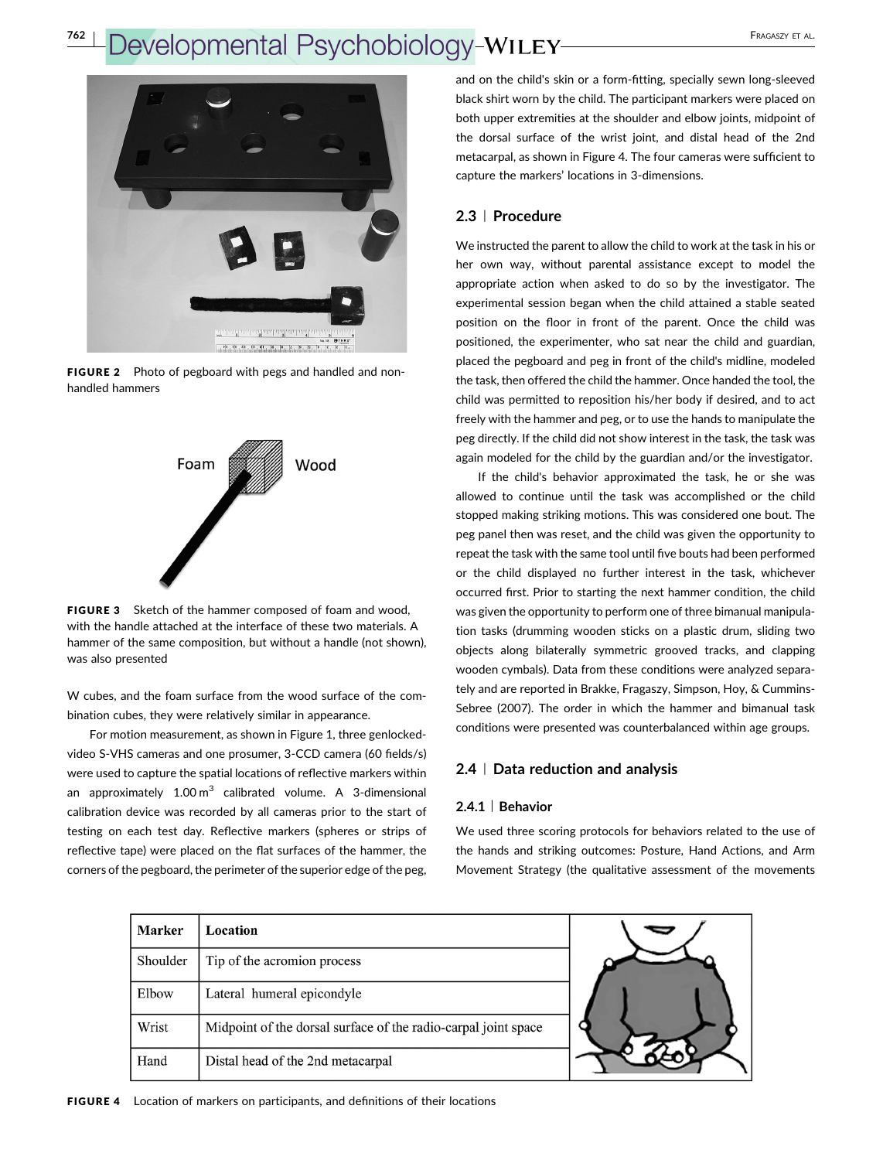

FIGURE 2 Photo of pegboard with pegs and handled and nonhandled hammers



FIGURE 3 Sketch of the hammer composed of foam and wood, with the handle attached at the interface of these two materials. A hammer of the same composition, but without a handle (not shown), was also presented

W cubes, and the foam surface from the wood surface of the combination cubes, they were relatively similar in appearance.

For motion measurement, as shown in Figure 1, three genlocked‐ video S‐VHS cameras and one prosumer, 3‐CCD camera (60 fields/s) were used to capture the spatial locations of reflective markers within an approximately  $1.00 \text{ m}^3$  calibrated volume. A 3-dimensional calibration device was recorded by all cameras prior to the start of testing on each test day. Reflective markers (spheres or strips of reflective tape) were placed on the flat surfaces of the hammer, the corners of the pegboard, the perimeter of the superior edge of the peg,

and on the child's skin or a form-fitting, specially sewn long-sleeved black shirt worn by the child. The participant markers were placed on both upper extremities at the shoulder and elbow joints, midpoint of the dorsal surface of the wrist joint, and distal head of the 2nd metacarpal, as shown in Figure 4. The four cameras were sufficient to capture the markers' locations in 3‐dimensions.

## 2.3 <sup>|</sup> Procedure

We instructed the parent to allow the child to work at the task in his or her own way, without parental assistance except to model the appropriate action when asked to do so by the investigator. The experimental session began when the child attained a stable seated position on the floor in front of the parent. Once the child was positioned, the experimenter, who sat near the child and guardian, placed the pegboard and peg in front of the child's midline, modeled the task, then offered the child the hammer. Once handed the tool, the child was permitted to reposition his/her body if desired, and to act freely with the hammer and peg, or to use the hands to manipulate the peg directly. If the child did not show interest in the task, the task was again modeled for the child by the guardian and/or the investigator.

If the child's behavior approximated the task, he or she was allowed to continue until the task was accomplished or the child stopped making striking motions. This was considered one bout. The peg panel then was reset, and the child was given the opportunity to repeat the task with the same tool until five bouts had been performed or the child displayed no further interest in the task, whichever occurred first. Prior to starting the next hammer condition, the child was given the opportunity to perform one of three bimanual manipulation tasks (drumming wooden sticks on a plastic drum, sliding two objects along bilaterally symmetric grooved tracks, and clapping wooden cymbals). Data from these conditions were analyzed separately and are reported in Brakke, Fragaszy, Simpson, Hoy, & Cummins‐ Sebree [\(2007](#page-12-0)). The order in which the hammer and bimanual task conditions were presented was counterbalanced within age groups.

### 2.4 <sup>|</sup> Data reduction and analysis

#### 2.4.1 | Behavior

We used three scoring protocols for behaviors related to the use of the hands and striking outcomes: Posture, Hand Actions, and Arm Movement Strategy (the qualitative assessment of the movements

| <b>Marker</b> | Location                                                       |  |
|---------------|----------------------------------------------------------------|--|
| Shoulder      | Tip of the acromion process                                    |  |
| Elbow         | Lateral humeral epicondyle                                     |  |
| Wrist         | Midpoint of the dorsal surface of the radio-carpal joint space |  |
| Hand          | Distal head of the 2nd metacarpal                              |  |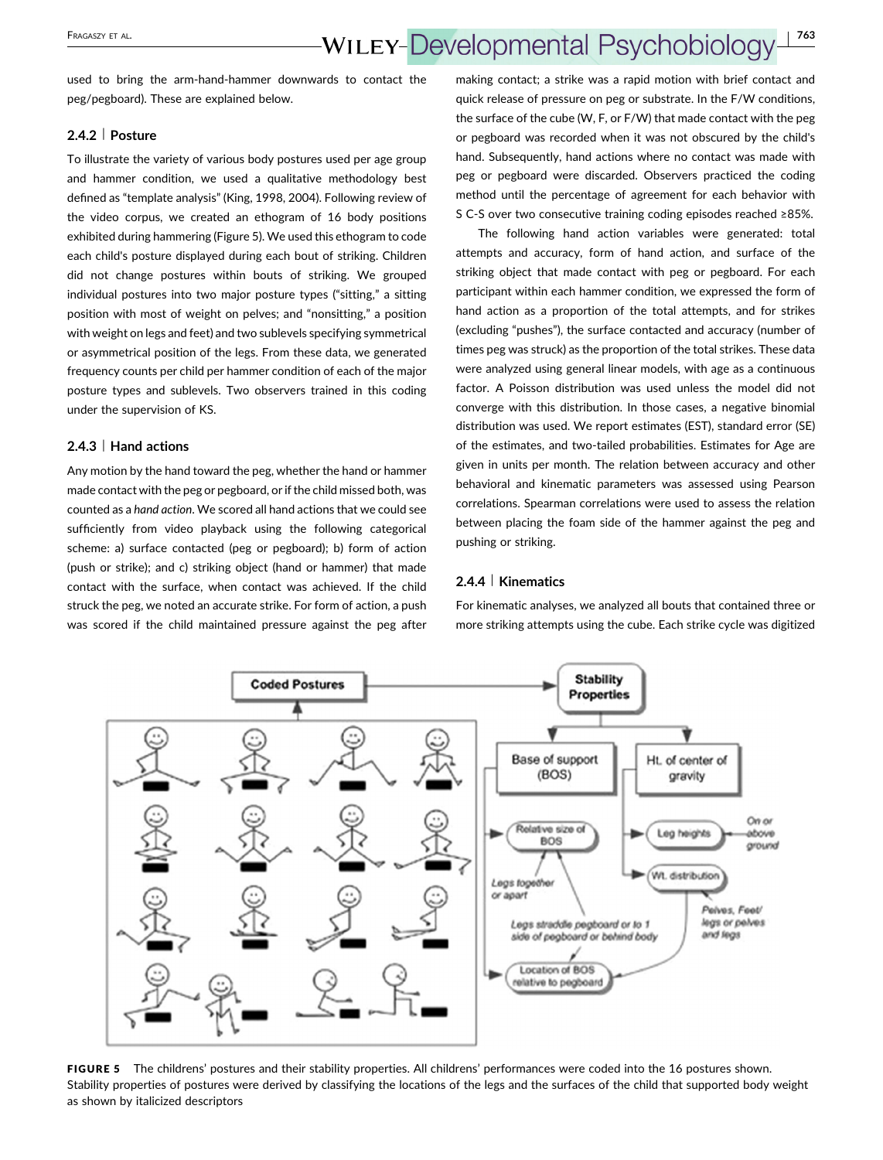## FRAGASZY ET AL. **WILEY-Developmental Psychobiology** 1763

used to bring the arm‐hand‐hammer downwards to contact the peg/pegboard). These are explained below.

#### 2.4.2 | Posture

To illustrate the variety of various body postures used per age group and hammer condition, we used a qualitative methodology best defined as "template analysis" (King, [1998, 2004](#page-13-0)). Following review of the video corpus, we created an ethogram of 16 body positions exhibited during hammering (Figure 5). We used this ethogram to code each child's posture displayed during each bout of striking. Children did not change postures within bouts of striking. We grouped individual postures into two major posture types ("sitting," a sitting position with most of weight on pelves; and "nonsitting," a position with weight on legs and feet) and two sublevels specifying symmetrical or asymmetrical position of the legs. From these data, we generated frequency counts per child per hammer condition of each of the major posture types and sublevels. Two observers trained in this coding under the supervision of KS.

### 2.4.3 | Hand actions

Any motion by the hand toward the peg, whether the hand or hammer made contact with the peg or pegboard, or if the child missed both, was counted as a hand action. We scored all hand actions that we could see sufficiently from video playback using the following categorical scheme: a) surface contacted (peg or pegboard); b) form of action (push or strike); and c) striking object (hand or hammer) that made contact with the surface, when contact was achieved. If the child struck the peg, we noted an accurate strike. For form of action, a push was scored if the child maintained pressure against the peg after

making contact; a strike was a rapid motion with brief contact and quick release of pressure on peg or substrate. In the F/W conditions, the surface of the cube (W, F, or F/W) that made contact with the peg or pegboard was recorded when it was not obscured by the child's hand. Subsequently, hand actions where no contact was made with peg or pegboard were discarded. Observers practiced the coding method until the percentage of agreement for each behavior with S C‐S over two consecutive training coding episodes reached ≥85%.

The following hand action variables were generated: total attempts and accuracy, form of hand action, and surface of the striking object that made contact with peg or pegboard. For each participant within each hammer condition, we expressed the form of hand action as a proportion of the total attempts, and for strikes (excluding "pushes"), the surface contacted and accuracy (number of times peg was struck) as the proportion of the total strikes. These data were analyzed using general linear models, with age as a continuous factor. A Poisson distribution was used unless the model did not converge with this distribution. In those cases, a negative binomial distribution was used. We report estimates (EST), standard error (SE) of the estimates, and two-tailed probabilities. Estimates for Age are given in units per month. The relation between accuracy and other behavioral and kinematic parameters was assessed using Pearson correlations. Spearman correlations were used to assess the relation between placing the foam side of the hammer against the peg and pushing or striking.

#### 2.4.4 | Kinematics

For kinematic analyses, we analyzed all bouts that contained three or more striking attempts using the cube. Each strike cycle was digitized



FIGURE 5 The childrens' postures and their stability properties. All childrens' performances were coded into the 16 postures shown. Stability properties of postures were derived by classifying the locations of the legs and the surfaces of the child that supported body weight as shown by italicized descriptors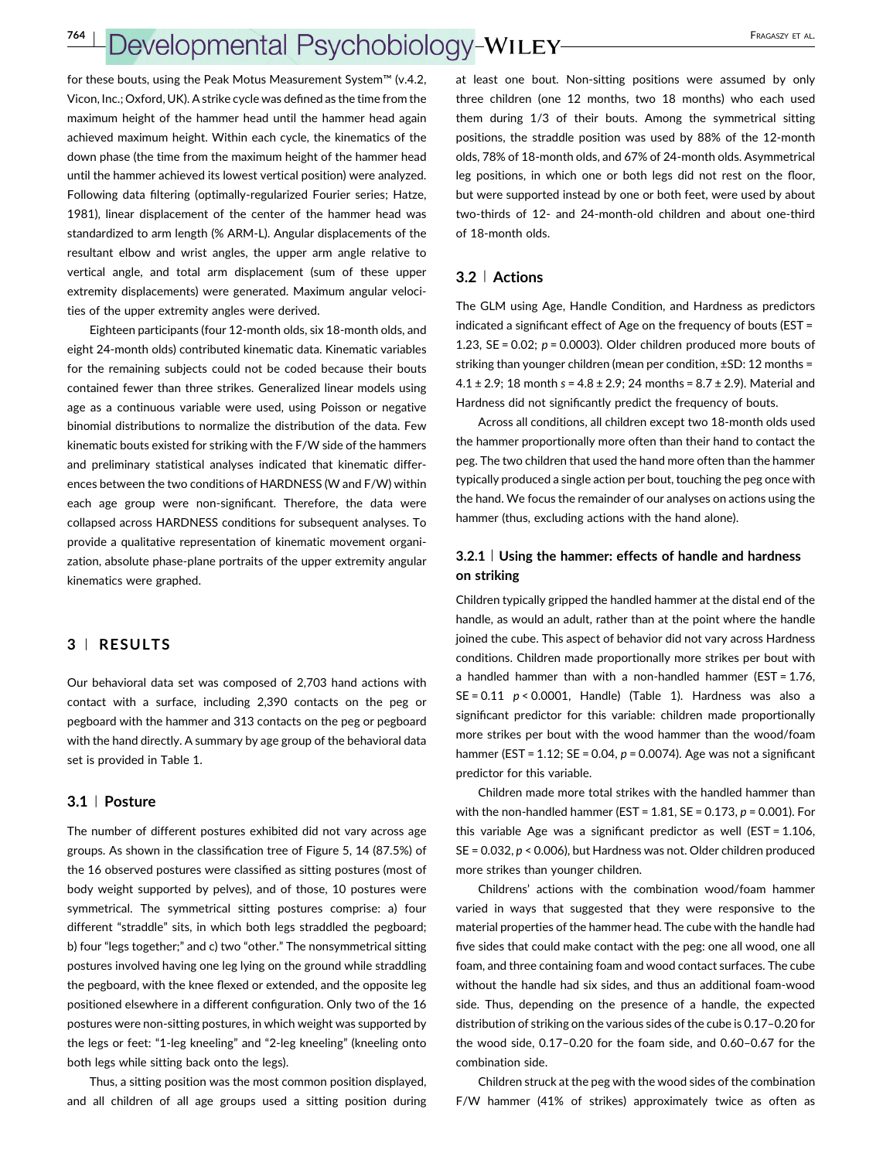for these bouts, using the Peak Motus Measurement System™ (v.4.2, Vicon, Inc.; Oxford, UK). A strike cycle was defined as the time from the maximum height of the hammer head until the hammer head again achieved maximum height. Within each cycle, the kinematics of the down phase (the time from the maximum height of the hammer head until the hammer achieved its lowest vertical position) were analyzed. Following data filtering (optimally‐regularized Fourier series; Hatze, 1981), linear displacement of the center of the hammer head was standardized to arm length (% ARM‐L). Angular displacements of the resultant elbow and wrist angles, the upper arm angle relative to vertical angle, and total arm displacement (sum of these upper extremity displacements) were generated. Maximum angular velocities of the upper extremity angles were derived.

Eighteen participants (four 12‐month olds, six 18‐month olds, and eight 24‐month olds) contributed kinematic data. Kinematic variables for the remaining subjects could not be coded because their bouts contained fewer than three strikes. Generalized linear models using age as a continuous variable were used, using Poisson or negative binomial distributions to normalize the distribution of the data. Few kinematic bouts existed for striking with the F/W side of the hammers and preliminary statistical analyses indicated that kinematic differences between the two conditions of HARDNESS (W and F/W) within each age group were non-significant. Therefore, the data were collapsed across HARDNESS conditions for subsequent analyses. To provide a qualitative representation of kinematic movement organization, absolute phase‐plane portraits of the upper extremity angular kinematics were graphed.

#### 3 <sup>|</sup> RESULTS

Our behavioral data set was composed of 2,703 hand actions with contact with a surface, including 2,390 contacts on the peg or pegboard with the hammer and 313 contacts on the peg or pegboard with the hand directly. A summary by age group of the behavioral data set is provided in Table [1.](#page-6-0)

### 3.1 <sup>|</sup> Posture

The number of different postures exhibited did not vary across age groups. As shown in the classification tree of Figure 5, 14 (87.5%) of the 16 observed postures were classified as sitting postures (most of body weight supported by pelves), and of those, 10 postures were symmetrical. The symmetrical sitting postures comprise: a) four different "straddle" sits, in which both legs straddled the pegboard; b) four "legs together;" and c) two "other." The nonsymmetrical sitting postures involved having one leg lying on the ground while straddling the pegboard, with the knee flexed or extended, and the opposite leg positioned elsewhere in a different configuration. Only two of the 16 postures were non‐sitting postures, in which weight was supported by the legs or feet: "1‐leg kneeling" and "2‐leg kneeling" (kneeling onto both legs while sitting back onto the legs).

Thus, a sitting position was the most common position displayed, and all children of all age groups used a sitting position during

at least one bout. Non‐sitting positions were assumed by only three children (one 12 months, two 18 months) who each used them during 1/3 of their bouts. Among the symmetrical sitting positions, the straddle position was used by 88% of the 12‐month olds, 78% of 18‐month olds, and 67% of 24‐month olds. Asymmetrical leg positions, in which one or both legs did not rest on the floor, but were supported instead by one or both feet, were used by about two‐thirds of 12‐ and 24‐month‐old children and about one‐third of 18‐month olds.

#### 3.2 <sup>|</sup> Actions

The GLM using Age, Handle Condition, and Hardness as predictors indicated a significant effect of Age on the frequency of bouts (EST = 1.23,  $SE = 0.02$ ;  $p = 0.0003$ ). Older children produced more bouts of striking than younger children (mean per condition, ±SD: 12 months =  $4.1 \pm 2.9$ ; 18 month s =  $4.8 \pm 2.9$ ; 24 months =  $8.7 \pm 2.9$ ). Material and Hardness did not significantly predict the frequency of bouts.

Across all conditions, all children except two 18‐month olds used the hammer proportionally more often than their hand to contact the peg. The two children that used the hand more often than the hammer typically produced a single action per bout, touching the peg once with the hand. We focus the remainder of our analyses on actions using the hammer (thus, excluding actions with the hand alone).

### 3.2.1 | Using the hammer: effects of handle and hardness on striking

Children typically gripped the handled hammer at the distal end of the handle, as would an adult, rather than at the point where the handle joined the cube. This aspect of behavior did not vary across Hardness conditions. Children made proportionally more strikes per bout with a handled hammer than with a non‐handled hammer (EST = 1.76,  $SE = 0.11$   $p < 0.0001$ , Handle) (Table [1\)](#page-6-0). Hardness was also a significant predictor for this variable: children made proportionally more strikes per bout with the wood hammer than the wood/foam hammer (EST =  $1.12$ ; SE = 0.04,  $p$  = 0.0074). Age was not a significant predictor for this variable.

Children made more total strikes with the handled hammer than with the non-handled hammer (EST =  $1.81$ , SE =  $0.173$ ,  $p = 0.001$ ). For this variable Age was a significant predictor as well (EST = 1.106, SE = 0.032, p < 0.006), but Hardness was not. Older children produced more strikes than younger children.

Childrens' actions with the combination wood/foam hammer varied in ways that suggested that they were responsive to the material properties of the hammer head. The cube with the handle had five sides that could make contact with the peg: one all wood, one all foam, and three containing foam and wood contact surfaces. The cube without the handle had six sides, and thus an additional foam‐wood side. Thus, depending on the presence of a handle, the expected distribution of striking on the various sides of the cube is 0.17–0.20 for the wood side, 0.17–0.20 for the foam side, and 0.60–0.67 for the combination side.

Children struck at the peg with the wood sides of the combination F/W hammer (41% of strikes) approximately twice as often as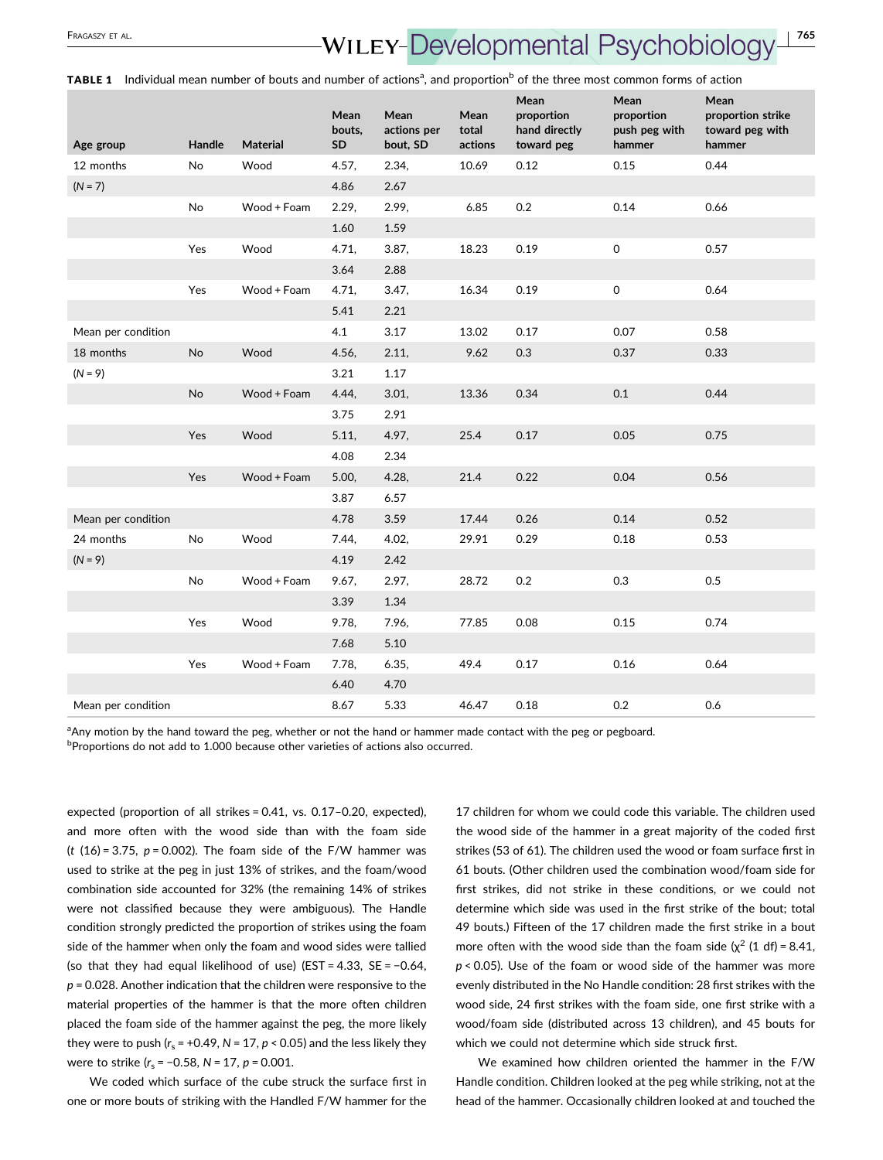# <span id="page-6-0"></span>FRAGASZY ET AL.<br>**WILEY-Developmental Psychobiolog**

TABLE 1 Individual mean number of bouts and number of actions<sup>a</sup>, and proportion<sup>b</sup> of the three most common forms of action

| Age group          | Handle    | <b>Material</b> | Mean<br>bouts,<br><b>SD</b> | Mean<br>actions per<br>bout, SD | Mean<br>total<br>actions | Mean<br>proportion<br>hand directly<br>toward peg | Mean<br>proportion<br>push peg with<br>hammer | Mean<br>proportion strike<br>toward peg with<br>hammer |
|--------------------|-----------|-----------------|-----------------------------|---------------------------------|--------------------------|---------------------------------------------------|-----------------------------------------------|--------------------------------------------------------|
| 12 months          | No        | Wood            | 4.57,                       | 2.34,                           | 10.69                    | 0.12                                              | 0.15                                          | 0.44                                                   |
| $(N = 7)$          |           |                 | 4.86                        | 2.67                            |                          |                                                   |                                               |                                                        |
|                    | No        | Wood + Foam     | 2.29.                       | 2.99,                           | 6.85                     | 0.2                                               | 0.14                                          | 0.66                                                   |
|                    |           |                 | 1.60                        | 1.59                            |                          |                                                   |                                               |                                                        |
|                    | Yes       | Wood            | 4.71,                       | 3.87,                           | 18.23                    | 0.19                                              | $\mathsf{O}$                                  | 0.57                                                   |
|                    |           |                 | 3.64                        | 2.88                            |                          |                                                   |                                               |                                                        |
|                    | Yes       | Wood + Foam     | 4.71,                       | 3.47,                           | 16.34                    | 0.19                                              | 0                                             | 0.64                                                   |
|                    |           |                 | 5.41                        | 2.21                            |                          |                                                   |                                               |                                                        |
| Mean per condition |           |                 | 4.1                         | 3.17                            | 13.02                    | 0.17                                              | 0.07                                          | 0.58                                                   |
| 18 months          | <b>No</b> | Wood            | 4.56,                       | 2.11,                           | 9.62                     | 0.3                                               | 0.37                                          | 0.33                                                   |
| $(N = 9)$          |           |                 | 3.21                        | 1.17                            |                          |                                                   |                                               |                                                        |
|                    | <b>No</b> | Wood + Foam     | 4.44,                       | 3.01,                           | 13.36                    | 0.34                                              | 0.1                                           | 0.44                                                   |
|                    |           |                 | 3.75                        | 2.91                            |                          |                                                   |                                               |                                                        |
|                    | Yes       | Wood            | 5.11,                       | 4.97,                           | 25.4                     | 0.17                                              | 0.05                                          | 0.75                                                   |
|                    |           |                 | 4.08                        | 2.34                            |                          |                                                   |                                               |                                                        |
|                    | Yes       | Wood + Foam     | 5.00,                       | 4.28,                           | 21.4                     | 0.22                                              | 0.04                                          | 0.56                                                   |
|                    |           |                 | 3.87                        | 6.57                            |                          |                                                   |                                               |                                                        |
| Mean per condition |           |                 | 4.78                        | 3.59                            | 17.44                    | 0.26                                              | 0.14                                          | 0.52                                                   |
| 24 months          | <b>No</b> | Wood            | 7.44,                       | 4.02,                           | 29.91                    | 0.29                                              | 0.18                                          | 0.53                                                   |
| $(N = 9)$          |           |                 | 4.19                        | 2.42                            |                          |                                                   |                                               |                                                        |
|                    | No        | Wood + Foam     | 9.67,                       | 2.97,                           | 28.72                    | 0.2                                               | 0.3                                           | 0.5                                                    |
|                    |           |                 | 3.39                        | 1.34                            |                          |                                                   |                                               |                                                        |
|                    | Yes       | Wood            | 9.78,                       | 7.96,                           | 77.85                    | 0.08                                              | 0.15                                          | 0.74                                                   |
|                    |           |                 | 7.68                        | 5.10                            |                          |                                                   |                                               |                                                        |
|                    | Yes       | Wood + Foam     | 7.78,                       | 6.35,                           | 49.4                     | 0.17                                              | 0.16                                          | 0.64                                                   |
|                    |           |                 | 6.40                        | 4.70                            |                          |                                                   |                                               |                                                        |
| Mean per condition |           |                 | 8.67                        | 5.33                            | 46.47                    | 0.18                                              | 0.2                                           | 0.6                                                    |

a Any motion by the hand toward the peg, whether or not the hand or hammer made contact with the peg or pegboard.

**Proportions do not add to 1.000 because other varieties of actions also occurred.** 

expected (proportion of all strikes = 0.41, vs. 0.17–0.20, expected), and more often with the wood side than with the foam side (t  $(16) = 3.75$ ,  $p = 0.002$ ). The foam side of the F/W hammer was used to strike at the peg in just 13% of strikes, and the foam/wood combination side accounted for 32% (the remaining 14% of strikes were not classified because they were ambiguous). The Handle condition strongly predicted the proportion of strikes using the foam side of the hammer when only the foam and wood sides were tallied (so that they had equal likelihood of use) (EST = 4.33, SE = −0.64,  $p = 0.028$ . Another indication that the children were responsive to the material properties of the hammer is that the more often children placed the foam side of the hammer against the peg, the more likely they were to push ( $r_s$  = +0.49, N = 17, p < 0.05) and the less likely they were to strike ( $r_s$  = -0.58, N = 17, p = 0.001.

We coded which surface of the cube struck the surface first in one or more bouts of striking with the Handled F/W hammer for the 17 children for whom we could code this variable. The children used the wood side of the hammer in a great majority of the coded first strikes (53 of 61). The children used the wood or foam surface first in 61 bouts. (Other children used the combination wood/foam side for first strikes, did not strike in these conditions, or we could not determine which side was used in the first strike of the bout; total 49 bouts.) Fifteen of the 17 children made the first strike in a bout more often with the wood side than the foam side  $(x^2 (1 df) = 8.41$ ,  $p$  < 0.05). Use of the foam or wood side of the hammer was more evenly distributed in the No Handle condition: 28 first strikes with the wood side, 24 first strikes with the foam side, one first strike with a wood/foam side (distributed across 13 children), and 45 bouts for which we could not determine which side struck first.

We examined how children oriented the hammer in the F/W Handle condition. Children looked at the peg while striking, not at the head of the hammer. Occasionally children looked at and touched the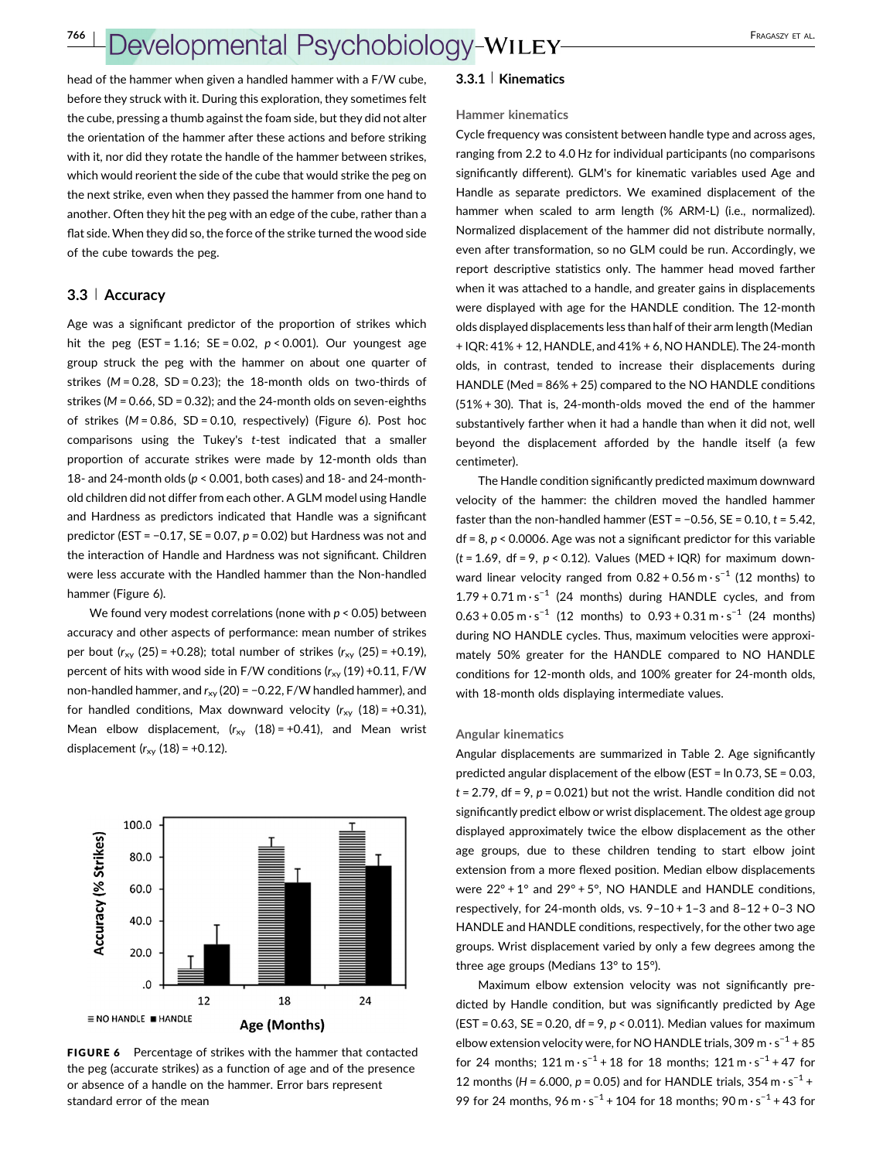head of the hammer when given a handled hammer with a F/W cube, before they struck with it. During this exploration, they sometimes felt the cube, pressing a thumb against the foam side, but they did not alter the orientation of the hammer after these actions and before striking with it, nor did they rotate the handle of the hammer between strikes, which would reorient the side of the cube that would strike the peg on the next strike, even when they passed the hammer from one hand to another. Often they hit the peg with an edge of the cube, rather than a flat side. When they did so, the force of the strike turned the wood side of the cube towards the peg.

#### 3.3 <sup>|</sup> Accuracy

Age was a significant predictor of the proportion of strikes which hit the peg (EST = 1.16; SE = 0.02,  $p < 0.001$ ). Our youngest age group struck the peg with the hammer on about one quarter of strikes ( $M = 0.28$ , SD = 0.23); the 18-month olds on two-thirds of strikes ( $M = 0.66$ , SD = 0.32); and the 24-month olds on seven-eighths of strikes  $(M = 0.86, SD = 0.10, respectively)$  (Figure 6). Post hoc comparisons using the Tukey's t-test indicated that a smaller proportion of accurate strikes were made by 12‐month olds than 18- and 24-month olds ( $p < 0.001$ , both cases) and 18- and 24-monthold children did not differ from each other. A GLM model using Handle and Hardness as predictors indicated that Handle was a significant predictor (EST =  $-0.17$ , SE = 0.07, p = 0.02) but Hardness was not and the interaction of Handle and Hardness was not significant. Children were less accurate with the Handled hammer than the Non‐handled hammer (Figure 6).

We found very modest correlations (none with  $p < 0.05$ ) between accuracy and other aspects of performance: mean number of strikes per bout  $(r_{xy} (25) = +0.28)$ ; total number of strikes  $(r_{xy} (25) = +0.19)$ , percent of hits with wood side in F/W conditions  $(r_{xx} (19) +0.11, F/W$ non-handled hammer, and  $r_{xy}$  (20) = -0.22, F/W handled hammer), and for handled conditions, Max downward velocity  $(r_{xy} (18) = +0.31)$ , Mean elbow displacement,  $(r_{xy} (18) = +0.41)$ , and Mean wrist displacement  $(r_{xy} (18) = +0.12)$ .



FIGURE 6 Percentage of strikes with the hammer that contacted the peg (accurate strikes) as a function of age and of the presence or absence of a handle on the hammer. Error bars represent standard error of the mean

#### 3.3.1 | Kinematics

#### Hammer kinematics

Cycle frequency was consistent between handle type and across ages, ranging from 2.2 to 4.0 Hz for individual participants (no comparisons significantly different). GLM's for kinematic variables used Age and Handle as separate predictors. We examined displacement of the hammer when scaled to arm length (% ARM-L) (i.e., normalized). Normalized displacement of the hammer did not distribute normally, even after transformation, so no GLM could be run. Accordingly, we report descriptive statistics only. The hammer head moved farther when it was attached to a handle, and greater gains in displacements were displayed with age for the HANDLE condition. The 12‐month olds displayed displacements less than half of their arm length (Median + IQR: 41% + 12, HANDLE, and 41% + 6, NO HANDLE). The 24‐month olds, in contrast, tended to increase their displacements during HANDLE (Med = 86% + 25) compared to the NO HANDLE conditions (51% + 30). That is, 24‐month‐olds moved the end of the hammer substantively farther when it had a handle than when it did not, well beyond the displacement afforded by the handle itself (a few centimeter).

The Handle condition significantly predicted maximum downward velocity of the hammer: the children moved the handled hammer faster than the non-handled hammer (EST =  $-0.56$ , SE = 0.10,  $t = 5.42$ ,  $df = 8$ ,  $p < 0.0006$ . Age was not a significant predictor for this variable  $(t = 1.69, df = 9, p < 0.12)$ . Values (MED + IQR) for maximum downward linear velocity ranged from  $0.82 + 0.56$  m $\cdot$ s<sup>-1</sup> (12 months) to  $1.79 + 0.71 \text{ m} \cdot \text{s}^{-1}$  (24 months) during HANDLE cycles, and from  $0.63 + 0.05$  m · s<sup>-1</sup> (12 months) to  $0.93 + 0.31$  m · s<sup>-1</sup> (24 months) during NO HANDLE cycles. Thus, maximum velocities were approximately 50% greater for the HANDLE compared to NO HANDLE conditions for 12‐month olds, and 100% greater for 24‐month olds, with 18-month olds displaying intermediate values.

#### Angular kinematics

Angular displacements are summarized in Table [2.](#page-8-0) Age significantly predicted angular displacement of the elbow (EST = ln 0.73, SE = 0.03,  $t = 2.79$ , df = 9,  $p = 0.021$ ) but not the wrist. Handle condition did not significantly predict elbow or wrist displacement. The oldest age group displayed approximately twice the elbow displacement as the other age groups, due to these children tending to start elbow joint extension from a more flexed position. Median elbow displacements were 22° + 1° and 29° + 5°, NO HANDLE and HANDLE conditions, respectively, for 24‐month olds, vs. 9–10 + 1–3 and 8–12 + 0–3 NO HANDLE and HANDLE conditions, respectively, for the other two age groups. Wrist displacement varied by only a few degrees among the three age groups (Medians 13° to 15°).

Maximum elbow extension velocity was not significantly predicted by Handle condition, but was significantly predicted by Age (EST = 0.63, SE = 0.20, df = 9,  $p$  < 0.011). Median values for maximum elbow extension velocity were, for NO HANDLE trials, 309 m  $\cdot$  s<sup>-1</sup> + 85 for 24 months;  $121 \text{ m} \cdot \text{s}^{-1} + 18$  for 18 months;  $121 \text{ m} \cdot \text{s}^{-1} + 47$  for 12 months (H = 6.000,  $p = 0.05$ ) and for HANDLE trials, 354 m · s<sup>-1</sup> + 99 for 24 months,  $96 \text{ m} \cdot \text{s}^{-1} + 104$  for 18 months;  $90 \text{ m} \cdot \text{s}^{-1} + 43$  for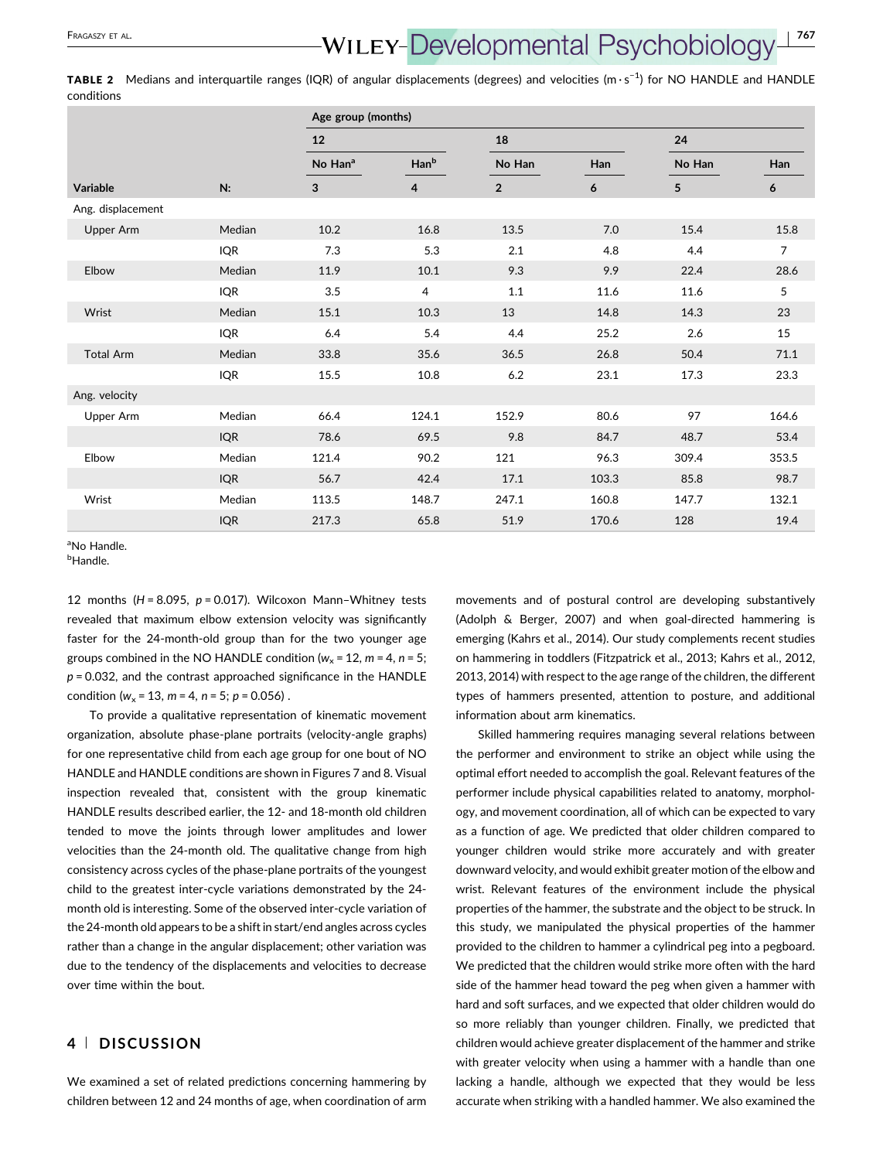# <span id="page-8-0"></span>FRAGASZY ET AL.<br>**WILEY-Developmental Psychobiology**

TABLE 2 Medians and interquartile ranges (IQR) of angular displacements (degrees) and velocities (m·s<sup>−1</sup>) for NO HANDLE and HANDLE conditions

|                   |            | Age group (months)  |       |                |       |        |                |  |  |
|-------------------|------------|---------------------|-------|----------------|-------|--------|----------------|--|--|
|                   |            | 12                  |       | 18             |       | 24     |                |  |  |
|                   |            | No Han <sup>a</sup> | Hanb  | No Han         | Han   | No Han | Han            |  |  |
| Variable          | N:         | 3                   | 4     | $\overline{2}$ | 6     | 5      | 6              |  |  |
| Ang. displacement |            |                     |       |                |       |        |                |  |  |
| Upper Arm         | Median     | 10.2                | 16.8  | 13.5           | 7.0   | 15.4   | 15.8           |  |  |
|                   | <b>IQR</b> | 7.3                 | 5.3   | 2.1            | 4.8   | 4.4    | $\overline{7}$ |  |  |
| Elbow             | Median     | 11.9                | 10.1  | 9.3            | 9.9   | 22.4   | 28.6           |  |  |
|                   | <b>IQR</b> | 3.5                 | 4     | 1.1            | 11.6  | 11.6   | 5              |  |  |
| Wrist             | Median     | 15.1                | 10.3  | 13             | 14.8  | 14.3   | 23             |  |  |
|                   | <b>IQR</b> | 6.4                 | 5.4   | 4.4            | 25.2  | 2.6    | $15\,$         |  |  |
| <b>Total Arm</b>  | Median     | 33.8                | 35.6  | 36.5           | 26.8  | 50.4   | 71.1           |  |  |
|                   | <b>IQR</b> | 15.5                | 10.8  | 6.2            | 23.1  | 17.3   | 23.3           |  |  |
| Ang. velocity     |            |                     |       |                |       |        |                |  |  |
| Upper Arm         | Median     | 66.4                | 124.1 | 152.9          | 80.6  | 97     | 164.6          |  |  |
|                   | <b>IQR</b> | 78.6                | 69.5  | 9.8            | 84.7  | 48.7   | 53.4           |  |  |
| Elbow             | Median     | 121.4               | 90.2  | 121            | 96.3  | 309.4  | 353.5          |  |  |
|                   | <b>IQR</b> | 56.7                | 42.4  | 17.1           | 103.3 | 85.8   | 98.7           |  |  |
| Wrist             | Median     | 113.5               | 148.7 | 247.1          | 160.8 | 147.7  | 132.1          |  |  |
|                   | <b>IQR</b> | 217.3               | 65.8  | 51.9           | 170.6 | 128    | 19.4           |  |  |

a No Handle.

<sup>b</sup>Handle.

12 months ( $H = 8.095$ ,  $p = 0.017$ ). Wilcoxon Mann-Whitney tests revealed that maximum elbow extension velocity was significantly faster for the 24‐month‐old group than for the two younger age groups combined in the NO HANDLE condition ( $w_x$  = 12, m = 4, n = 5;  $p = 0.032$ , and the contrast approached significance in the HANDLE condition ( $w_r$  = 13,  $m$  = 4,  $n$  = 5;  $p$  = 0.056).

To provide a qualitative representation of kinematic movement organization, absolute phase‐plane portraits (velocity‐angle graphs) for one representative child from each age group for one bout of NO HANDLE and HANDLE conditions are shown in Figures 7 and 8. Visual inspection revealed that, consistent with the group kinematic HANDLE results described earlier, the 12‐ and 18‐month old children tended to move the joints through lower amplitudes and lower velocities than the 24‐month old. The qualitative change from high consistency across cycles of the phase‐plane portraits of the youngest child to the greatest inter‐cycle variations demonstrated by the 24‐ month old is interesting. Some of the observed inter‐cycle variation of the 24‐month old appears to be a shift in start/end angles across cycles rather than a change in the angular displacement; other variation was due to the tendency of the displacements and velocities to decrease over time within the bout.

### 4 <sup>|</sup> DISCUSSION

We examined a set of related predictions concerning hammering by children between 12 and 24 months of age, when coordination of arm

movements and of postural control are developing substantively (Adolph & Berger, [2007\)](#page-12-0) and when goal‐directed hammering is emerging (Kahrs et al., [2014\)](#page-13-0). Our study complements recent studies on hammering in toddlers (Fitzpatrick et al., [2013](#page-12-0); Kahrs et al., [2012](#page-13-0), [2013](#page-13-0), [2014\)](#page-13-0) with respect to the age range of the children, the different types of hammers presented, attention to posture, and additional information about arm kinematics.

Skilled hammering requires managing several relations between the performer and environment to strike an object while using the optimal effort needed to accomplish the goal. Relevant features of the performer include physical capabilities related to anatomy, morphology, and movement coordination, all of which can be expected to vary as a function of age. We predicted that older children compared to younger children would strike more accurately and with greater downward velocity, and would exhibit greater motion of the elbow and wrist. Relevant features of the environment include the physical properties of the hammer, the substrate and the object to be struck. In this study, we manipulated the physical properties of the hammer provided to the children to hammer a cylindrical peg into a pegboard. We predicted that the children would strike more often with the hard side of the hammer head toward the peg when given a hammer with hard and soft surfaces, and we expected that older children would do so more reliably than younger children. Finally, we predicted that children would achieve greater displacement of the hammer and strike with greater velocity when using a hammer with a handle than one lacking a handle, although we expected that they would be less accurate when striking with a handled hammer. We also examined the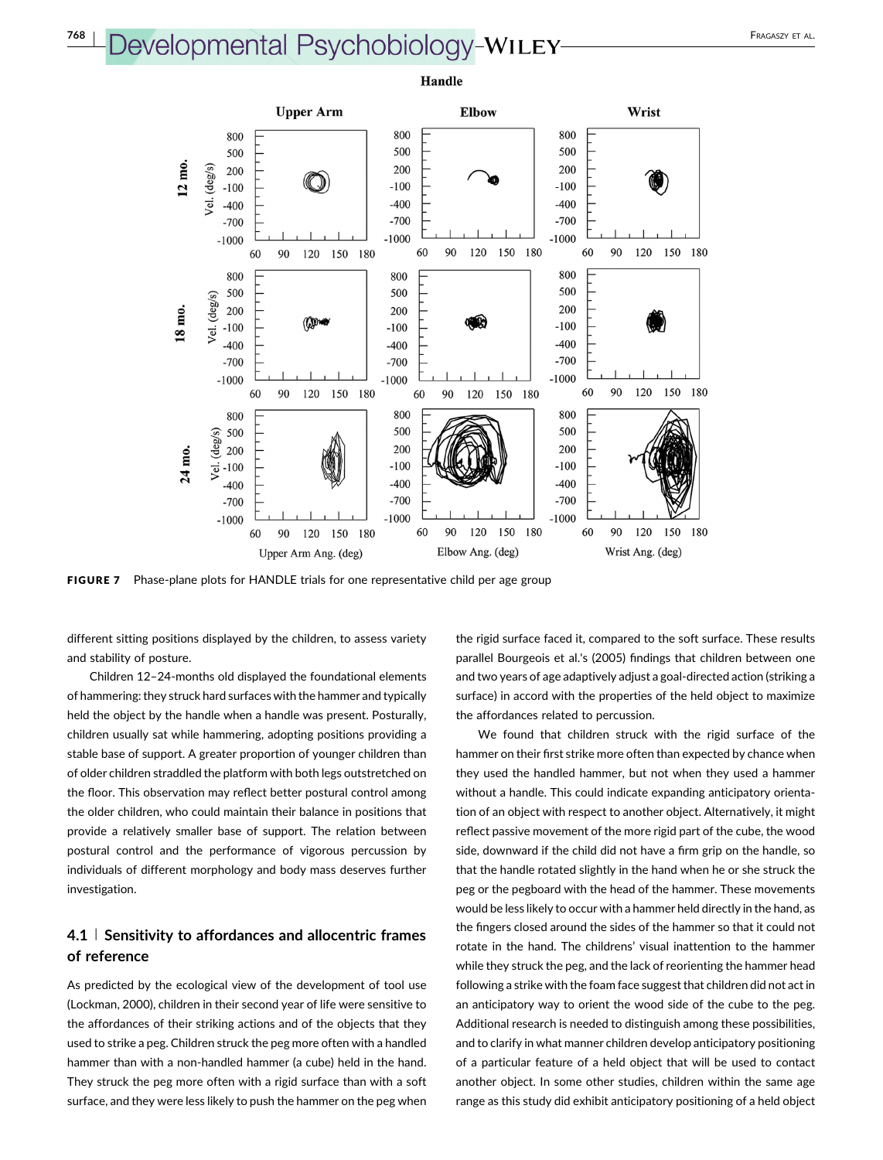# Developmental Psychobiology-WILEY-ALLEY



FIGURE 7 Phase-plane plots for HANDLE trials for one representative child per age group

different sitting positions displayed by the children, to assess variety and stability of posture.

Children 12–24‐months old displayed the foundational elements of hammering: they struck hard surfaces with the hammer and typically held the object by the handle when a handle was present. Posturally, children usually sat while hammering, adopting positions providing a stable base of support. A greater proportion of younger children than of older children straddled the platform with both legs outstretched on the floor. This observation may reflect better postural control among the older children, who could maintain their balance in positions that provide a relatively smaller base of support. The relation between postural control and the performance of vigorous percussion by individuals of different morphology and body mass deserves further investigation.

## 4.1 | Sensitivity to affordances and allocentric frames of reference

As predicted by the ecological view of the development of tool use (Lockman, [2000](#page-13-0)), children in their second year of life were sensitive to the affordances of their striking actions and of the objects that they used to strike a peg. Children struck the peg more often with a handled hammer than with a non-handled hammer (a cube) held in the hand. They struck the peg more often with a rigid surface than with a soft surface, and they were less likely to push the hammer on the peg when

the rigid surface faced it, compared to the soft surface. These results parallel Bourgeois et al.'s [\(2005\)](#page-12-0) findings that children between one and two years of age adaptively adjust a goal‐directed action (striking a surface) in accord with the properties of the held object to maximize the affordances related to percussion.

We found that children struck with the rigid surface of the hammer on their first strike more often than expected by chance when they used the handled hammer, but not when they used a hammer without a handle. This could indicate expanding anticipatory orientation of an object with respect to another object. Alternatively, it might reflect passive movement of the more rigid part of the cube, the wood side, downward if the child did not have a firm grip on the handle, so that the handle rotated slightly in the hand when he or she struck the peg or the pegboard with the head of the hammer. These movements would be less likely to occur with a hammer held directly in the hand, as the fingers closed around the sides of the hammer so that it could not rotate in the hand. The childrens' visual inattention to the hammer while they struck the peg, and the lack of reorienting the hammer head following a strike with the foam face suggest that children did not act in an anticipatory way to orient the wood side of the cube to the peg. Additional research is needed to distinguish among these possibilities, and to clarify in what manner children develop anticipatory positioning of a particular feature of a held object that will be used to contact another object. In some other studies, children within the same age range as this study did exhibit anticipatory positioning of a held object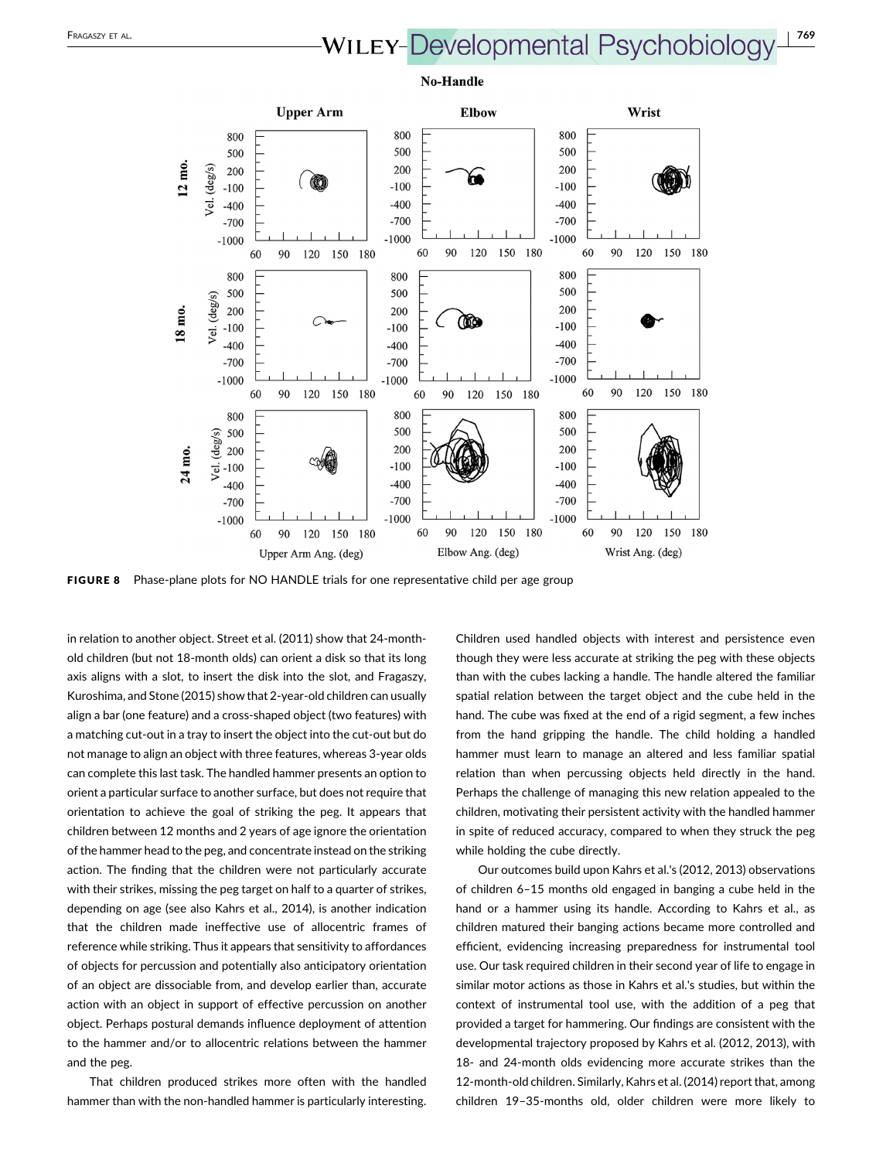# FRAGASZY ET AL.<br>**WILEY-Developmental Psychobiology**



FIGURE 8 Phase-plane plots for NO HANDLE trials for one representative child per age group

in relation to another object. Street et al. [\(2011\)](#page-13-0) show that 24‐month‐ old children (but not 18‐month olds) can orient a disk so that its long axis aligns with a slot, to insert the disk into the slot, and Fragaszy, Kuroshima, and Stone [\(2015\)](#page-13-0) show that 2‐year‐old children can usually align a bar (one feature) and a cross‐shaped object (two features) with a matching cut-out in a tray to insert the object into the cut-out but do not manage to align an object with three features, whereas 3‐year olds can complete this last task. The handled hammer presents an option to orient a particular surface to another surface, but does not require that orientation to achieve the goal of striking the peg. It appears that children between 12 months and 2 years of age ignore the orientation of the hammer head to the peg, and concentrate instead on the striking action. The finding that the children were not particularly accurate with their strikes, missing the peg target on half to a quarter of strikes, depending on age (see also Kahrs et al., [2014](#page-13-0)), is another indication that the children made ineffective use of allocentric frames of reference while striking. Thus it appears that sensitivity to affordances of objects for percussion and potentially also anticipatory orientation of an object are dissociable from, and develop earlier than, accurate action with an object in support of effective percussion on another object. Perhaps postural demands influence deployment of attention to the hammer and/or to allocentric relations between the hammer and the peg.

That children produced strikes more often with the handled hammer than with the non-handled hammer is particularly interesting.

Children used handled objects with interest and persistence even though they were less accurate at striking the peg with these objects than with the cubes lacking a handle. The handle altered the familiar spatial relation between the target object and the cube held in the hand. The cube was fixed at the end of a rigid segment, a few inches from the hand gripping the handle. The child holding a handled hammer must learn to manage an altered and less familiar spatial relation than when percussing objects held directly in the hand. Perhaps the challenge of managing this new relation appealed to the children, motivating their persistent activity with the handled hammer in spite of reduced accuracy, compared to when they struck the peg while holding the cube directly.

Our outcomes build upon Kahrs et al.'s (2012, 2013) observations of children 6–15 months old engaged in banging a cube held in the hand or a hammer using its handle. According to Kahrs et al., as children matured their banging actions became more controlled and efficient, evidencing increasing preparedness for instrumental tool use. Our task required children in their second year of life to engage in similar motor actions as those in Kahrs et al.'s studies, but within the context of instrumental tool use, with the addition of a peg that provided a target for hammering. Our findings are consistent with the developmental trajectory proposed by Kahrs et al. [\(2012, 2013](#page-13-0)), with 18‐ and 24‐month olds evidencing more accurate strikes than the 12-month-old children. Similarly, Kahrs et al. [\(2014](#page-13-0)) report that, among children 19–35‐months old, older children were more likely to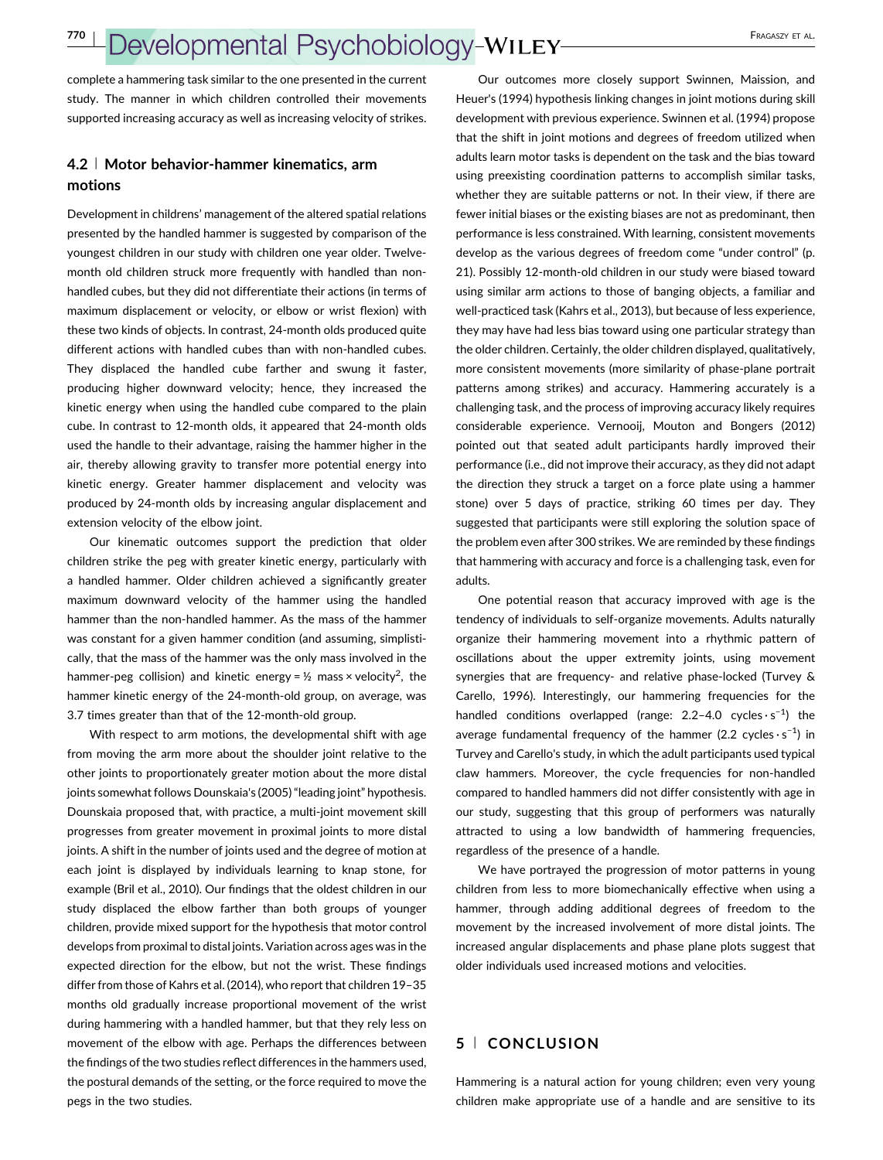complete a hammering task similar to the one presented in the current study. The manner in which children controlled their movements supported increasing accuracy as well as increasing velocity of strikes.

### 4.2 <sup>|</sup> Motor behavior‐hammer kinematics, arm motions

Development in childrens' management of the altered spatial relations presented by the handled hammer is suggested by comparison of the youngest children in our study with children one year older. Twelve‐ month old children struck more frequently with handled than non‐ handled cubes, but they did not differentiate their actions (in terms of maximum displacement or velocity, or elbow or wrist flexion) with these two kinds of objects. In contrast, 24‐month olds produced quite different actions with handled cubes than with non‐handled cubes. They displaced the handled cube farther and swung it faster, producing higher downward velocity; hence, they increased the kinetic energy when using the handled cube compared to the plain cube. In contrast to 12‐month olds, it appeared that 24‐month olds used the handle to their advantage, raising the hammer higher in the air, thereby allowing gravity to transfer more potential energy into kinetic energy. Greater hammer displacement and velocity was produced by 24‐month olds by increasing angular displacement and extension velocity of the elbow joint.

Our kinematic outcomes support the prediction that older children strike the peg with greater kinetic energy, particularly with a handled hammer. Older children achieved a significantly greater maximum downward velocity of the hammer using the handled hammer than the non-handled hammer. As the mass of the hammer was constant for a given hammer condition (and assuming, simplistically, that the mass of the hammer was the only mass involved in the hammer-peg collision) and kinetic energy =  $\frac{1}{2}$  mass × velocity<sup>2</sup>, the hammer kinetic energy of the 24‐month‐old group, on average, was 3.7 times greater than that of the 12‐month‐old group.

With respect to arm motions, the developmental shift with age from moving the arm more about the shoulder joint relative to the other joints to proportionately greater motion about the more distal joints somewhat follows Dounskaia's [\(2005\)](#page-12-0)"leading joint" hypothesis. Dounskaia proposed that, with practice, a multi‐joint movement skill progresses from greater movement in proximal joints to more distal joints. A shift in the number of joints used and the degree of motion at each joint is displayed by individuals learning to knap stone, for example (Bril et al., [2010](#page-12-0)). Our findings that the oldest children in our study displaced the elbow farther than both groups of younger children, provide mixed support for the hypothesis that motor control develops from proximal to distal joints. Variation across ages was in the expected direction for the elbow, but not the wrist. These findings differ from those of Kahrs et al. [\(2014\)](#page-13-0), who report that children 19–35 months old gradually increase proportional movement of the wrist during hammering with a handled hammer, but that they rely less on movement of the elbow with age. Perhaps the differences between the findings of the two studies reflect differences in the hammers used, the postural demands of the setting, or the force required to move the pegs in the two studies.

Our outcomes more closely support Swinnen, Maission, and Heuer's ([1994](#page-13-0)) hypothesis linking changes in joint motions during skill development with previous experience. Swinnen et al. ([1994](#page-13-0)) propose that the shift in joint motions and degrees of freedom utilized when adults learn motor tasks is dependent on the task and the bias toward using preexisting coordination patterns to accomplish similar tasks, whether they are suitable patterns or not. In their view, if there are fewer initial biases or the existing biases are not as predominant, then performance is less constrained. With learning, consistent movements develop as the various degrees of freedom come "under control" (p. 21). Possibly 12‐month‐old children in our study were biased toward using similar arm actions to those of banging objects, a familiar and well-practiced task (Kahrs et al., [2013](#page-13-0)), but because of less experience, they may have had less bias toward using one particular strategy than the older children. Certainly, the older children displayed, qualitatively, more consistent movements (more similarity of phase-plane portrait patterns among strikes) and accuracy. Hammering accurately is a challenging task, and the process of improving accuracy likely requires considerable experience. Vernooij, Mouton and Bongers [\(2012\)](#page-13-0) pointed out that seated adult participants hardly improved their performance (i.e., did not improve their accuracy, as they did not adapt the direction they struck a target on a force plate using a hammer stone) over 5 days of practice, striking 60 times per day. They suggested that participants were still exploring the solution space of the problem even after 300 strikes. We are reminded by these findings that hammering with accuracy and force is a challenging task, even for adults.

One potential reason that accuracy improved with age is the tendency of individuals to self‐organize movements. Adults naturally organize their hammering movement into a rhythmic pattern of oscillations about the upper extremity joints, using movement synergies that are frequency‐ and relative phase‐locked (Turvey & Carello, [1996\)](#page-13-0). Interestingly, our hammering frequencies for the handled conditions overlapped (range:  $2.2-4.0$  cycles · s<sup>-1</sup>) the average fundamental frequency of the hammer (2.2 cycles $\cdot$ s<sup>-1</sup>) in Turvey and Carello's study, in which the adult participants used typical claw hammers. Moreover, the cycle frequencies for non‐handled compared to handled hammers did not differ consistently with age in our study, suggesting that this group of performers was naturally attracted to using a low bandwidth of hammering frequencies, regardless of the presence of a handle.

We have portrayed the progression of motor patterns in young children from less to more biomechanically effective when using a hammer, through adding additional degrees of freedom to the movement by the increased involvement of more distal joints. The increased angular displacements and phase plane plots suggest that older individuals used increased motions and velocities.

### 5 <sup>|</sup> CONCLUSION

Hammering is a natural action for young children; even very young children make appropriate use of a handle and are sensitive to its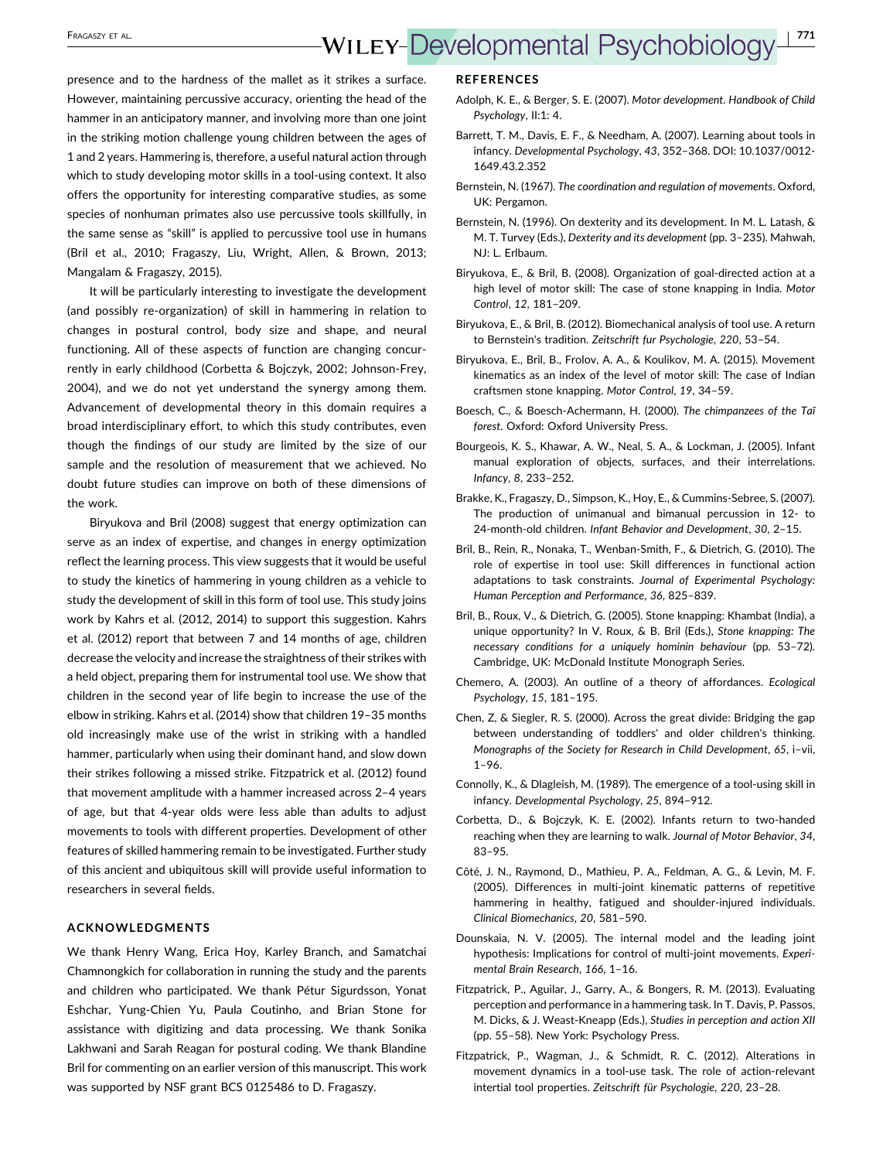<span id="page-12-0"></span>presence and to the hardness of the mallet as it strikes a surface. However, maintaining percussive accuracy, orienting the head of the hammer in an anticipatory manner, and involving more than one joint in the striking motion challenge young children between the ages of 1 and 2 years. Hammering is, therefore, a useful natural action through which to study developing motor skills in a tool-using context. It also offers the opportunity for interesting comparative studies, as some species of nonhuman primates also use percussive tools skillfully, in the same sense as "skill" is applied to percussive tool use in humans (Bril et al., 2010; Fragaszy, Liu, Wright, Allen, & Brown, [2013;](#page-13-0) Mangalam & Fragaszy, [2015\)](#page-13-0).

It will be particularly interesting to investigate the development (and possibly re‐organization) of skill in hammering in relation to changes in postural control, body size and shape, and neural functioning. All of these aspects of function are changing concurrently in early childhood (Corbetta & Bojczyk, 2002; Johnson‐Frey, [2004](#page-13-0)), and we do not yet understand the synergy among them. Advancement of developmental theory in this domain requires a broad interdisciplinary effort, to which this study contributes, even though the findings of our study are limited by the size of our sample and the resolution of measurement that we achieved. No doubt future studies can improve on both of these dimensions of the work.

Biryukova and Bril (2008) suggest that energy optimization can serve as an index of expertise, and changes in energy optimization reflect the learning process. This view suggests that it would be useful to study the kinetics of hammering in young children as a vehicle to study the development of skill in this form of tool use. This study joins work by Kahrs et al. ([2012](#page-13-0), [2014\)](#page-13-0) to support this suggestion. Kahrs et al. [\(2012\)](#page-13-0) report that between 7 and 14 months of age, children decrease the velocity and increase the straightness of their strikes with a held object, preparing them for instrumental tool use. We show that children in the second year of life begin to increase the use of the elbow in striking. Kahrs et al. ([2014\)](#page-13-0) show that children 19–35 months old increasingly make use of the wrist in striking with a handled hammer, particularly when using their dominant hand, and slow down their strikes following a missed strike. Fitzpatrick et al. (2012) found that movement amplitude with a hammer increased across 2–4 years of age, but that 4‐year olds were less able than adults to adjust movements to tools with different properties. Development of other features of skilled hammering remain to be investigated. Further study of this ancient and ubiquitous skill will provide useful information to researchers in several fields.

#### ACKNOWLEDGMENTS

We thank Henry Wang, Erica Hoy, Karley Branch, and Samatchai Chamnongkich for collaboration in running the study and the parents and children who participated. We thank Pétur Sigurdsson, Yonat Eshchar, Yung‐Chien Yu, Paula Coutinho, and Brian Stone for assistance with digitizing and data processing. We thank Sonika Lakhwani and Sarah Reagan for postural coding. We thank Blandine Bril for commenting on an earlier version of this manuscript. This work was supported by NSF grant BCS 0125486 to D. Fragaszy.

#### **REFERENCES**

- Adolph, K. E., & Berger, S. E. (2007). Motor development. Handbook of Child Psychology, II:1: 4.
- Barrett, T. M., Davis, E. F., & Needham, A. (2007). Learning about tools in infancy. Developmental Psychology, 43, 352–368. DOI: 10.1037/0012‐ 1649.43.2.352
- Bernstein, N. (1967). The coordination and regulation of movements. Oxford, UK: Pergamon.
- Bernstein, N. (1996). On dexterity and its development. In M. L. Latash, & M. T. Turvey (Eds.), Dexterity and its development (pp. 3–235). Mahwah, NJ: L. Erlbaum.
- Biryukova, E., & Bril, B. (2008). Organization of goal‐directed action at a high level of motor skill: The case of stone knapping in India. Motor Control, 12, 181–209.
- Biryukova, E., & Bril, B. (2012). Biomechanical analysis of tool use. A return to Bernstein's tradition. Zeitschrift fur Psychologie, 220, 53–54.
- Biryukova, E., Bril, B., Frolov, A. A., & Koulikov, M. A. (2015). Movement kinematics as an index of the level of motor skill: The case of Indian craftsmen stone knapping. Motor Control, 19, 34–59.
- Boesch, C., & Boesch‐Achermann, H. (2000). The chimpanzees of the Taï forest. Oxford: Oxford University Press.
- Bourgeois, K. S., Khawar, A. W., Neal, S. A., & Lockman, J. (2005). Infant manual exploration of objects, surfaces, and their interrelations. Infancy, 8, 233–252.
- Brakke, K., Fragaszy, D., Simpson, K., Hoy, E., & Cummins‐Sebree, S. (2007). The production of unimanual and bimanual percussion in 12‐ to 24‐month‐old children. Infant Behavior and Development, 30, 2–15.
- Bril, B., Rein, R., Nonaka, T., Wenban‐Smith, F., & Dietrich, G. (2010). The role of expertise in tool use: Skill differences in functional action adaptations to task constraints. Journal of Experimental Psychology: Human Perception and Performance, 36, 825–839.
- Bril, B., Roux, V., & Dietrich, G. (2005). Stone knapping: Khambat (India), a unique opportunity? In V. Roux, & B. Bril (Eds.), Stone knapping: The necessary conditions for a uniquely hominin behaviour (pp. 53–72). Cambridge, UK: McDonald Institute Monograph Series.
- Chemero, A. (2003). An outline of a theory of affordances. Ecological Psychology, 15, 181–195.
- Chen, Z, & Siegler, R. S. (2000). Across the great divide: Bridging the gap between understanding of toddlers' and older children's thinking. Monographs of the Society for Research in Child Development, 65, i–vii, 1–96.
- Connolly, K., & Dlagleish, M. (1989). The emergence of a tool‐using skill in infancy. Developmental Psychology, 25, 894–912.
- Corbetta, D., & Bojczyk, K. E. (2002). Infants return to two‐handed reaching when they are learning to walk. Journal of Motor Behavior, 34, 83–95.
- Côté, J. N., Raymond, D., Mathieu, P. A., Feldman, A. G., & Levin, M. F. (2005). Differences in multi‐joint kinematic patterns of repetitive hammering in healthy, fatigued and shoulder-injured individuals. Clinical Biomechanics, 20, 581–590.
- Dounskaia, N. V. (2005). The internal model and the leading joint hypothesis: Implications for control of multi-joint movements. Experimental Brain Research, 166, 1–16.
- Fitzpatrick, P., Aguilar, J., Garry, A., & Bongers, R. M. (2013). Evaluating perception and performance in a hammering task. In T. Davis, P. Passos, M. Dicks, & J. Weast‐Kneapp (Eds.), Studies in perception and action XII (pp. 55–58). New York: Psychology Press.
- Fitzpatrick, P., Wagman, J., & Schmidt, R. C. (2012). Alterations in movement dynamics in a tool‐use task. The role of action‐relevant intertial tool properties. Zeitschrift für Psychologie, 220, 23–28.